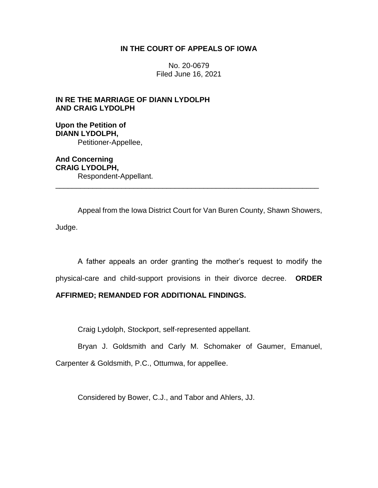## **IN THE COURT OF APPEALS OF IOWA**

No. 20-0679 Filed June 16, 2021

# **IN RE THE MARRIAGE OF DIANN LYDOLPH AND CRAIG LYDOLPH**

**Upon the Petition of DIANN LYDOLPH,** Petitioner-Appellee,

**And Concerning CRAIG LYDOLPH,** Respondent-Appellant. \_\_\_\_\_\_\_\_\_\_\_\_\_\_\_\_\_\_\_\_\_\_\_\_\_\_\_\_\_\_\_\_\_\_\_\_\_\_\_\_\_\_\_\_\_\_\_\_\_\_\_\_\_\_\_\_\_\_\_\_\_\_\_\_

Appeal from the Iowa District Court for Van Buren County, Shawn Showers, Judge.

A father appeals an order granting the mother's request to modify the physical-care and child-support provisions in their divorce decree. **ORDER** 

## **AFFIRMED; REMANDED FOR ADDITIONAL FINDINGS.**

Craig Lydolph, Stockport, self-represented appellant.

Bryan J. Goldsmith and Carly M. Schomaker of Gaumer, Emanuel, Carpenter & Goldsmith, P.C., Ottumwa, for appellee.

Considered by Bower, C.J., and Tabor and Ahlers, JJ.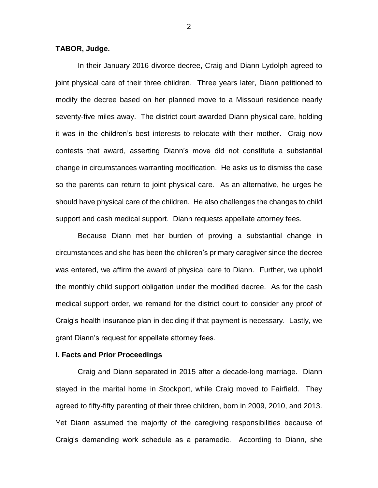### **TABOR, Judge.**

In their January 2016 divorce decree, Craig and Diann Lydolph agreed to joint physical care of their three children. Three years later, Diann petitioned to modify the decree based on her planned move to a Missouri residence nearly seventy-five miles away. The district court awarded Diann physical care, holding it was in the children's best interests to relocate with their mother. Craig now contests that award, asserting Diann's move did not constitute a substantial change in circumstances warranting modification. He asks us to dismiss the case so the parents can return to joint physical care. As an alternative, he urges he should have physical care of the children. He also challenges the changes to child support and cash medical support. Diann requests appellate attorney fees.

Because Diann met her burden of proving a substantial change in circumstances and she has been the children's primary caregiver since the decree was entered, we affirm the award of physical care to Diann. Further, we uphold the monthly child support obligation under the modified decree. As for the cash medical support order, we remand for the district court to consider any proof of Craig's health insurance plan in deciding if that payment is necessary. Lastly, we grant Diann's request for appellate attorney fees.

#### **I. Facts and Prior Proceedings**

Craig and Diann separated in 2015 after a decade-long marriage. Diann stayed in the marital home in Stockport, while Craig moved to Fairfield. They agreed to fifty-fifty parenting of their three children, born in 2009, 2010, and 2013. Yet Diann assumed the majority of the caregiving responsibilities because of Craig's demanding work schedule as a paramedic. According to Diann, she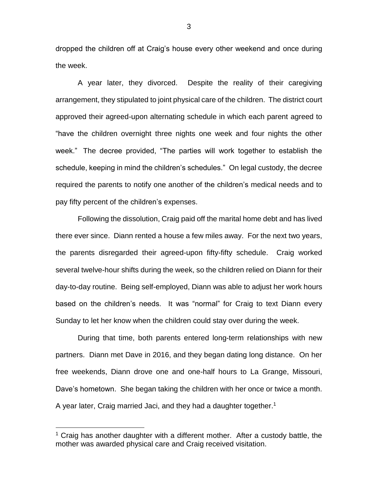dropped the children off at Craig's house every other weekend and once during the week.

A year later, they divorced. Despite the reality of their caregiving arrangement, they stipulated to joint physical care of the children. The district court approved their agreed-upon alternating schedule in which each parent agreed to "have the children overnight three nights one week and four nights the other week." The decree provided, "The parties will work together to establish the schedule, keeping in mind the children's schedules." On legal custody, the decree required the parents to notify one another of the children's medical needs and to pay fifty percent of the children's expenses.

Following the dissolution, Craig paid off the marital home debt and has lived there ever since. Diann rented a house a few miles away. For the next two years, the parents disregarded their agreed-upon fifty-fifty schedule. Craig worked several twelve-hour shifts during the week, so the children relied on Diann for their day-to-day routine. Being self-employed, Diann was able to adjust her work hours based on the children's needs. It was "normal" for Craig to text Diann every Sunday to let her know when the children could stay over during the week.

During that time, both parents entered long-term relationships with new partners. Diann met Dave in 2016, and they began dating long distance. On her free weekends, Diann drove one and one-half hours to La Grange, Missouri, Dave's hometown. She began taking the children with her once or twice a month. A year later, Craig married Jaci, and they had a daughter together.<sup>1</sup>

 $\overline{a}$ 

 $1$  Craig has another daughter with a different mother. After a custody battle, the mother was awarded physical care and Craig received visitation.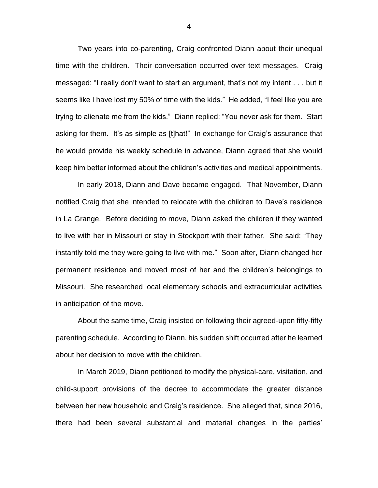Two years into co-parenting, Craig confronted Diann about their unequal time with the children. Their conversation occurred over text messages. Craig messaged: "I really don't want to start an argument, that's not my intent . . . but it seems like I have lost my 50% of time with the kids." He added, "I feel like you are trying to alienate me from the kids." Diann replied: "You never ask for them. Start asking for them. It's as simple as [t]hat!" In exchange for Craig's assurance that he would provide his weekly schedule in advance, Diann agreed that she would keep him better informed about the children's activities and medical appointments.

In early 2018, Diann and Dave became engaged. That November, Diann notified Craig that she intended to relocate with the children to Dave's residence in La Grange. Before deciding to move, Diann asked the children if they wanted to live with her in Missouri or stay in Stockport with their father. She said: "They instantly told me they were going to live with me." Soon after, Diann changed her permanent residence and moved most of her and the children's belongings to Missouri. She researched local elementary schools and extracurricular activities in anticipation of the move.

About the same time, Craig insisted on following their agreed-upon fifty-fifty parenting schedule. According to Diann, his sudden shift occurred after he learned about her decision to move with the children.

In March 2019, Diann petitioned to modify the physical-care, visitation, and child-support provisions of the decree to accommodate the greater distance between her new household and Craig's residence. She alleged that, since 2016, there had been several substantial and material changes in the parties'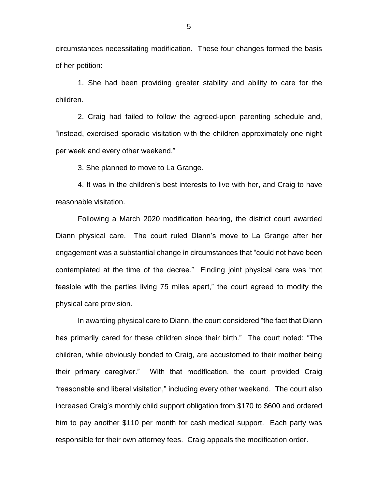circumstances necessitating modification. These four changes formed the basis of her petition:

1. She had been providing greater stability and ability to care for the children.

2. Craig had failed to follow the agreed-upon parenting schedule and, "instead, exercised sporadic visitation with the children approximately one night per week and every other weekend."

3. She planned to move to La Grange.

4. It was in the children's best interests to live with her, and Craig to have reasonable visitation.

Following a March 2020 modification hearing, the district court awarded Diann physical care. The court ruled Diann's move to La Grange after her engagement was a substantial change in circumstances that "could not have been contemplated at the time of the decree." Finding joint physical care was "not feasible with the parties living 75 miles apart," the court agreed to modify the physical care provision.

In awarding physical care to Diann, the court considered "the fact that Diann has primarily cared for these children since their birth." The court noted: "The children, while obviously bonded to Craig, are accustomed to their mother being their primary caregiver." With that modification, the court provided Craig "reasonable and liberal visitation," including every other weekend. The court also increased Craig's monthly child support obligation from \$170 to \$600 and ordered him to pay another \$110 per month for cash medical support. Each party was responsible for their own attorney fees. Craig appeals the modification order.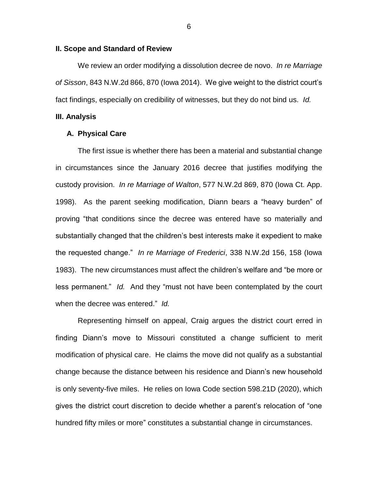#### **II. Scope and Standard of Review**

We review an order modifying a dissolution decree de novo. *In re Marriage of Sisson*, 843 N.W.2d 866, 870 (Iowa 2014). We give weight to the district court's fact findings, especially on credibility of witnesses, but they do not bind us. *Id.* 

### **III. Analysis**

### **A. Physical Care**

The first issue is whether there has been a material and substantial change in circumstances since the January 2016 decree that justifies modifying the custody provision. *In re Marriage of Walton*, 577 N.W.2d 869, 870 (Iowa Ct. App. 1998). As the parent seeking modification, Diann bears a "heavy burden" of proving "that conditions since the decree was entered have so materially and substantially changed that the children's best interests make it expedient to make the requested change." *In re Marriage of Frederici*, 338 N.W.2d 156, 158 (Iowa 1983). The new circumstances must affect the children's welfare and "be more or less permanent." *Id.* And they "must not have been contemplated by the court when the decree was entered." *Id.*

Representing himself on appeal, Craig argues the district court erred in finding Diann's move to Missouri constituted a change sufficient to merit modification of physical care. He claims the move did not qualify as a substantial change because the distance between his residence and Diann's new household is only seventy-five miles. He relies on Iowa Code section 598.21D (2020), which gives the district court discretion to decide whether a parent's relocation of "one hundred fifty miles or more" constitutes a substantial change in circumstances.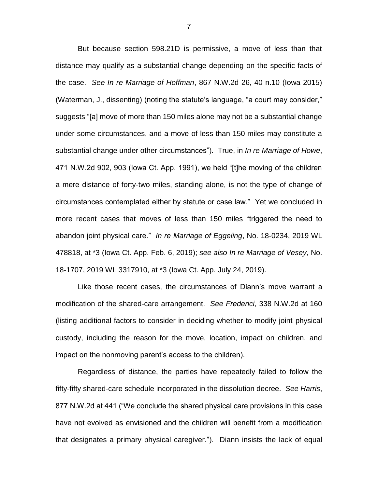But because section 598.21D is permissive, a move of less than that distance may qualify as a substantial change depending on the specific facts of the case. *See In re Marriage of Hoffman*, 867 N.W.2d 26, 40 n.10 (Iowa 2015) (Waterman, J., dissenting) (noting the statute's language, "a court may consider," suggests "[a] move of more than 150 miles alone may not be a substantial change under some circumstances, and a move of less than 150 miles may constitute a substantial change under other circumstances"). True, in *In re Marriage of Howe*, 471 N.W.2d 902, 903 (Iowa Ct. App. 1991), we held "[t]he moving of the children a mere distance of forty-two miles, standing alone, is not the type of change of circumstances contemplated either by statute or case law." Yet we concluded in more recent cases that moves of less than 150 miles "triggered the need to abandon joint physical care." *In re Marriage of Eggeling*, No. 18-0234, 2019 WL 478818, at \*3 (Iowa Ct. App. Feb. 6, 2019); *see also In re Marriage of Vesey*, No. 18-1707, 2019 WL 3317910, at \*3 (Iowa Ct. App. July 24, 2019).

Like those recent cases, the circumstances of Diann's move warrant a modification of the shared-care arrangement. *See Frederici*, 338 N.W.2d at 160 (listing additional factors to consider in deciding whether to modify joint physical custody, including the reason for the move, location, impact on children, and impact on the nonmoving parent's access to the children).

Regardless of distance, the parties have repeatedly failed to follow the fifty-fifty shared-care schedule incorporated in the dissolution decree. *See Harris*, 877 N.W.2d at 441 ("We conclude the shared physical care provisions in this case have not evolved as envisioned and the children will benefit from a modification that designates a primary physical caregiver."). Diann insists the lack of equal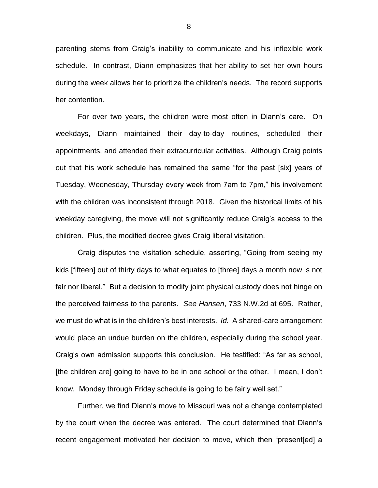parenting stems from Craig's inability to communicate and his inflexible work schedule. In contrast, Diann emphasizes that her ability to set her own hours during the week allows her to prioritize the children's needs. The record supports her contention.

For over two years, the children were most often in Diann's care. On weekdays, Diann maintained their day-to-day routines, scheduled their appointments, and attended their extracurricular activities. Although Craig points out that his work schedule has remained the same "for the past [six] years of Tuesday, Wednesday, Thursday every week from 7am to 7pm," his involvement with the children was inconsistent through 2018. Given the historical limits of his weekday caregiving, the move will not significantly reduce Craig's access to the children. Plus, the modified decree gives Craig liberal visitation.

Craig disputes the visitation schedule, asserting, "Going from seeing my kids [fifteen] out of thirty days to what equates to [three] days a month now is not fair nor liberal." But a decision to modify joint physical custody does not hinge on the perceived fairness to the parents. *See Hansen*, 733 N.W.2d at 695. Rather, we must do what is in the children's best interests. *Id.* A shared-care arrangement would place an undue burden on the children, especially during the school year. Craig's own admission supports this conclusion. He testified: "As far as school, [the children are] going to have to be in one school or the other. I mean, I don't know. Monday through Friday schedule is going to be fairly well set."

Further, we find Diann's move to Missouri was not a change contemplated by the court when the decree was entered. The court determined that Diann's recent engagement motivated her decision to move, which then "present[ed] a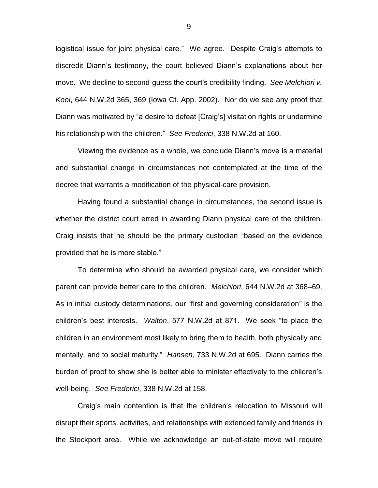logistical issue for joint physical care." We agree. Despite Craig's attempts to discredit Diann's testimony, the court believed Diann's explanations about her move. We decline to second-guess the court's credibility finding. *See Melchiori v. Kooi*, 644 N.W.2d 365, 369 (Iowa Ct. App. 2002). Nor do we see any proof that Diann was motivated by "a desire to defeat [Craig's] visitation rights or undermine his relationship with the children." *See Frederici*, 338 N.W.2d at 160.

Viewing the evidence as a whole, we conclude Diann's move is a material and substantial change in circumstances not contemplated at the time of the decree that warrants a modification of the physical-care provision.

Having found a substantial change in circumstances, the second issue is whether the district court erred in awarding Diann physical care of the children. Craig insists that he should be the primary custodian "based on the evidence provided that he is more stable."

To determine who should be awarded physical care, we consider which parent can provide better care to the children. *Melchiori*, 644 N.W.2d at 368–69. As in initial custody determinations, our "first and governing consideration" is the children's best interests. *Walton*, 577 N.W.2d at 871. We seek "to place the children in an environment most likely to bring them to health, both physically and mentally, and to social maturity." *Hansen*, 733 N.W.2d at 695. Diann carries the burden of proof to show she is better able to minister effectively to the children's well-being. *See Frederici*, 338 N.W.2d at 158.

Craig's main contention is that the children's relocation to Missouri will disrupt their sports, activities, and relationships with extended family and friends in the Stockport area. While we acknowledge an out-of-state move will require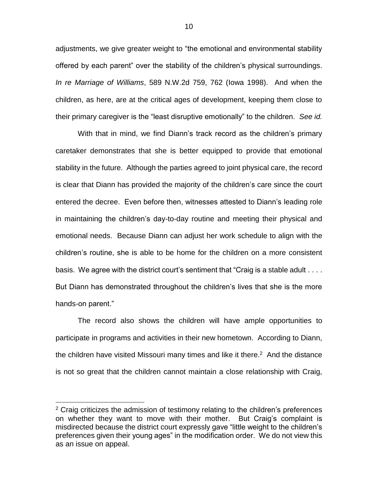adjustments, we give greater weight to "the emotional and environmental stability offered by each parent" over the stability of the children's physical surroundings. *In re Marriage of Williams*, 589 N.W.2d 759, 762 (Iowa 1998). And when the children, as here, are at the critical ages of development, keeping them close to their primary caregiver is the "least disruptive emotionally" to the children. *See id.* 

With that in mind, we find Diann's track record as the children's primary caretaker demonstrates that she is better equipped to provide that emotional stability in the future. Although the parties agreed to joint physical care, the record is clear that Diann has provided the majority of the children's care since the court entered the decree. Even before then, witnesses attested to Diann's leading role in maintaining the children's day-to-day routine and meeting their physical and emotional needs. Because Diann can adjust her work schedule to align with the children's routine, she is able to be home for the children on a more consistent basis. We agree with the district court's sentiment that "Craig is a stable adult . . . . But Diann has demonstrated throughout the children's lives that she is the more hands-on parent."

The record also shows the children will have ample opportunities to participate in programs and activities in their new hometown. According to Diann, the children have visited Missouri many times and like it there.<sup>2</sup> And the distance is not so great that the children cannot maintain a close relationship with Craig,

 $\overline{a}$ 

 $2$  Craig criticizes the admission of testimony relating to the children's preferences on whether they want to move with their mother. But Craig's complaint is misdirected because the district court expressly gave "little weight to the children's preferences given their young ages" in the modification order. We do not view this as an issue on appeal.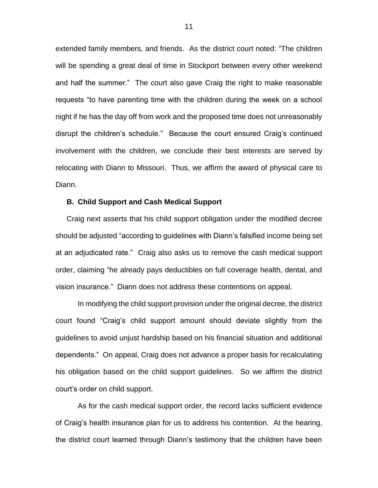extended family members, and friends. As the district court noted: "The children will be spending a great deal of time in Stockport between every other weekend and half the summer." The court also gave Craig the right to make reasonable requests "to have parenting time with the children during the week on a school night if he has the day off from work and the proposed time does not unreasonably disrupt the children's schedule." Because the court ensured Craig's continued involvement with the children, we conclude their best interests are served by relocating with Diann to Missouri. Thus, we affirm the award of physical care to Diann.

#### **B. Child Support and Cash Medical Support**

Craig next asserts that his child support obligation under the modified decree should be adjusted "according to guidelines with Diann's falsified income being set at an adjudicated rate." Craig also asks us to remove the cash medical support order, claiming "he already pays deductibles on full coverage health, dental, and vision insurance." Diann does not address these contentions on appeal.

In modifying the child support provision under the original decree, the district court found "Craig's child support amount should deviate slightly from the guidelines to avoid unjust hardship based on his financial situation and additional dependents." On appeal, Craig does not advance a proper basis for recalculating his obligation based on the child support guidelines. So we affirm the district court's order on child support.

As for the cash medical support order, the record lacks sufficient evidence of Craig's health insurance plan for us to address his contention. At the hearing, the district court learned through Diann's testimony that the children have been